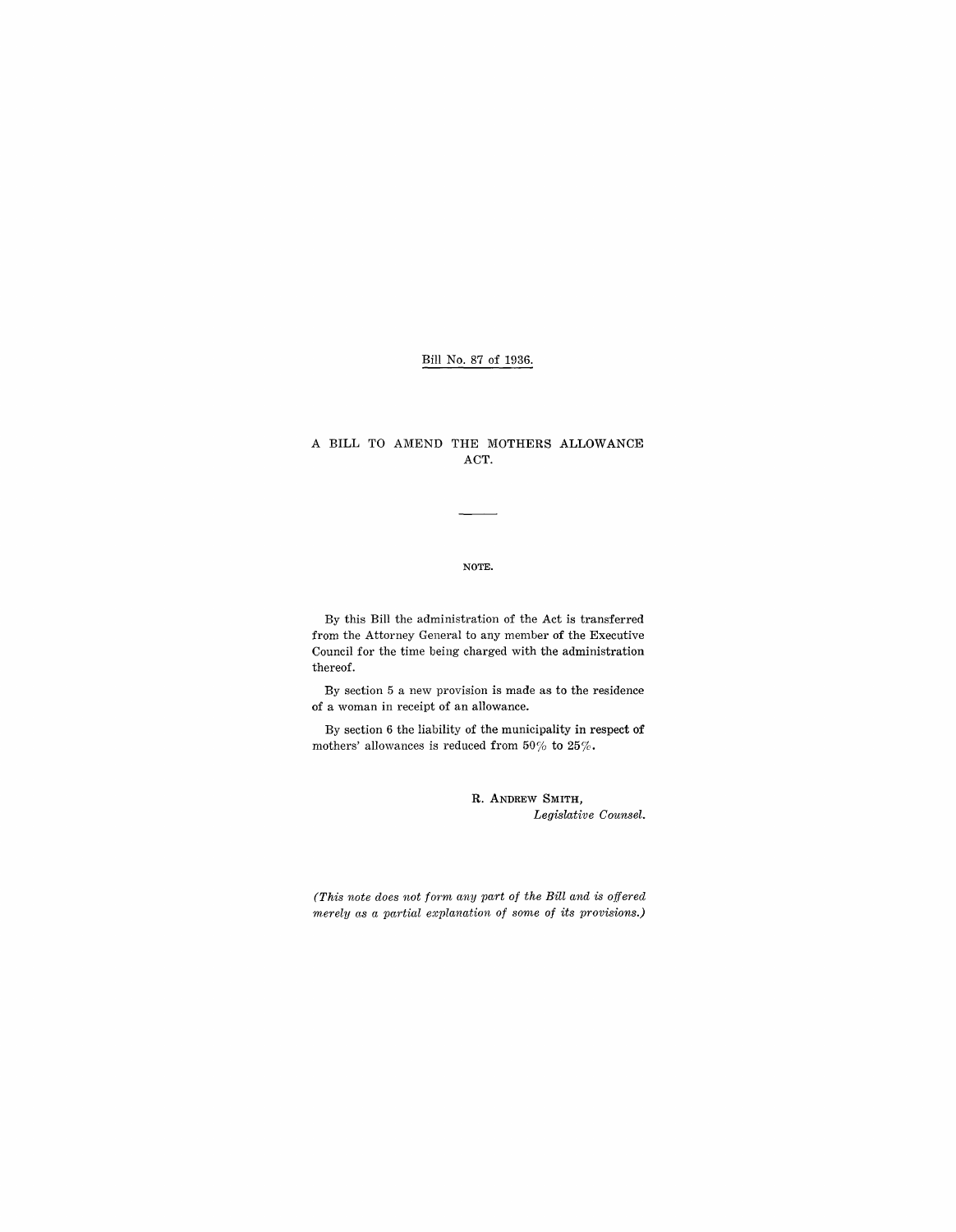## Bill No. 87 of 1936.

## A BILL TO AMEND THE MOTHERS ALLOWANCE ACT.

#### NOTE.

By this Bill the administration of the Act is transferred from the Attorney General to any member of the Executive Council for the time being charged with the administration thereof.

By section 5 a new provision is made as to the residence of a woman in receipt of an allowance.

By section 6 the liability of the municipality in respect of mothers' allowances is reduced from 50% to 25%.

> R. ANDREW SMITH, *Legislative Counsel.*

*(This note does not form any part of the Bill and is offered*   $merely as a partial explanation of some of its provisions.)$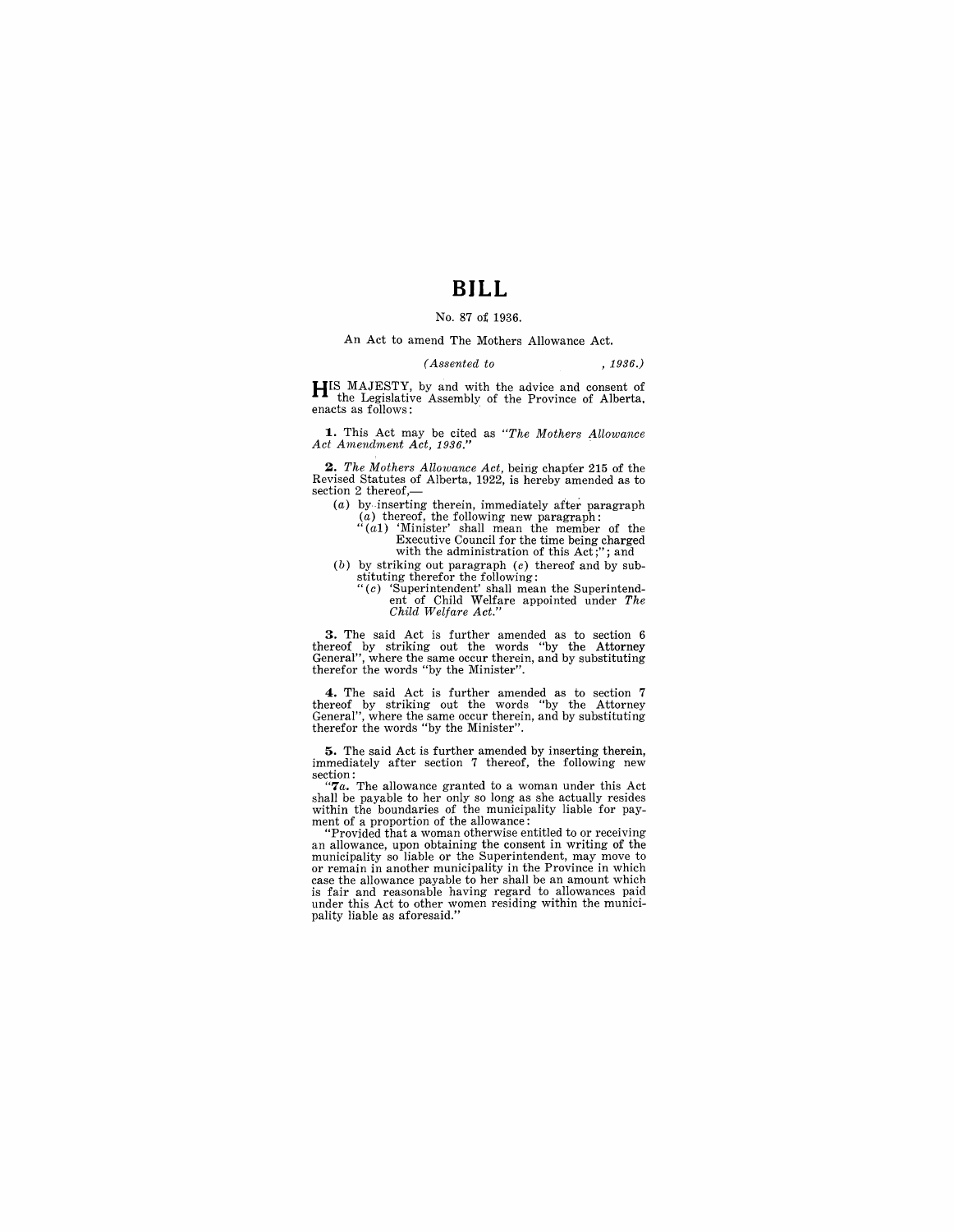# **BILL**

### No. 87 o£ 1936.

## An Act to amend The Mothers Allowance Act.

#### *(Assented to* , 1936.)

**HIS MAJESTY**, by and with the advice and consent of the Legislative Assembly of the Province of Alberta. enacts as follows: .

**1.** This Act may be cited as *"The Mothers Allowance*  Act Amendment Act, 1936."

**2.** *The Mothers Allowance Act*, being chapter 215 of the Revised Statutes of Alberta, 1922, is hereby amended as to section 2 thereof,-

- 
- (a) by inserting therein, immediately after paragraph (a) thereof, the following new paragraph:<br>"(a1) 'Minister' shall mean the member of the  $\frac{N}{2}$  Executive Council for the time being charged with the administration
- (b) by striking out paragraph  $(c)$  thereof and by substituting therefor the following: "(c) 'Superintendent' shall mean the Superintend
	- ent of Child Welfare appointed under *The Child Welfare Act."*

**3.** The said Act is further amended as to section 6 thereof by striking out the words "by the Attorney General", where the same occur therein, and by substituting therefor the words "by the Minister".

**4.** The said Act is further amended as to section 7 thereof by striking out the words "by the Attorney General", where the same occur therein, and by substituting therefor the words "by the Minister".

**5.** The said Act is further amended by inserting therein, immediately after section 7 thereof, the following new immediately after section 7 thereof, the following new section:<br>
"**7***a*. The allowance granted to a woman under this Act

shall be payable to her only so long as she actually resides within the boundaries of the municipality liable for payment of a proportion of the allowance:<br>"Provided that a woman otherwise entitled to or receiving

an allowance, upon obtaining the consent in writing of the municipality so liable or the Superintendent, may move to or remain in another municipality in the Province in which case the allowance payable to her shall be an amount which is fair and reasonable having regard to allowances paid under this Act to other women residing within the municipality liable as aforesaid."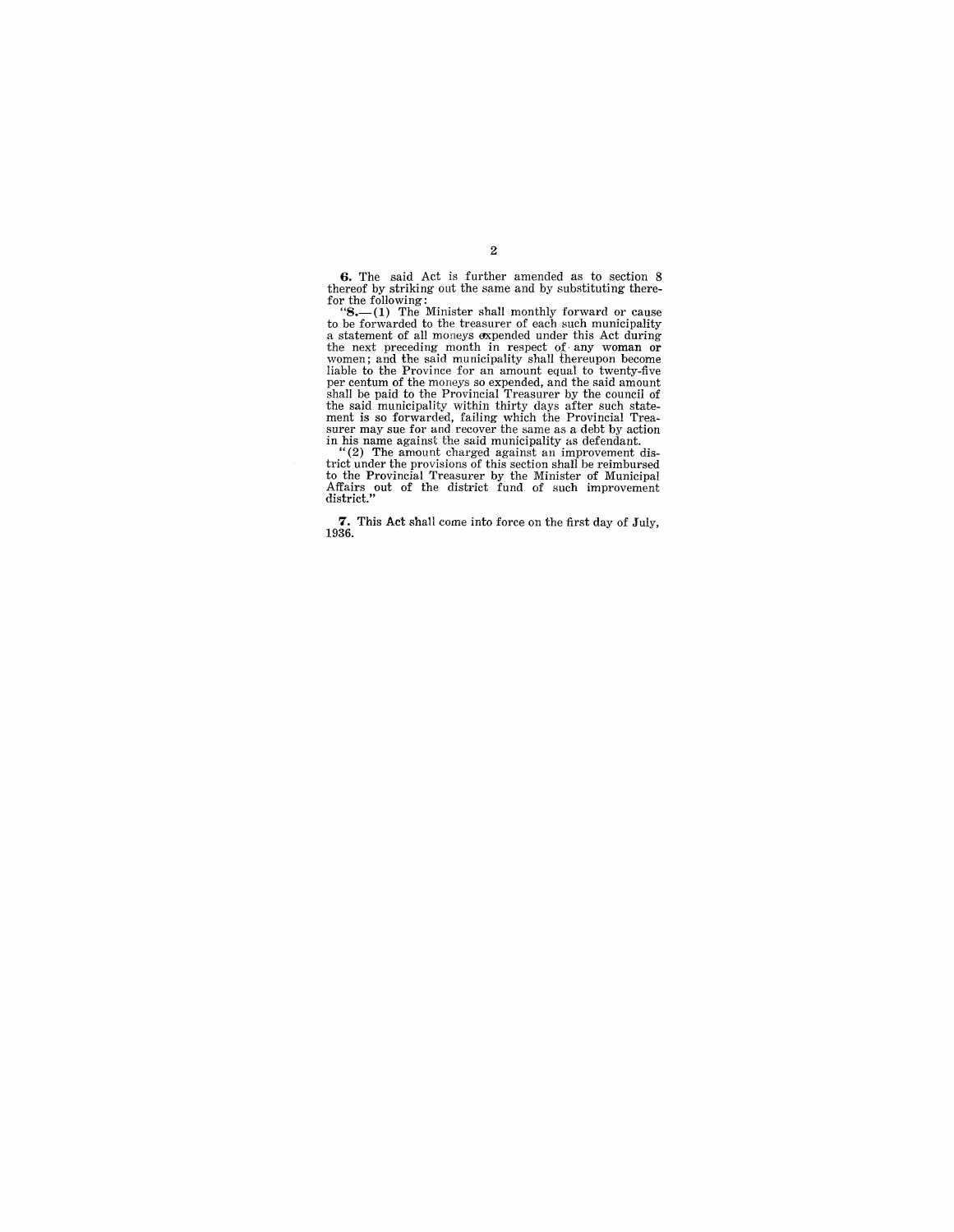**6.** The said Act is further amended as to section 8 thereof by striking out the same and by substituting there-

thereof by striking out the same and by substituting there-<br>for the following:<br>"S.—(1) The Minister shall monthly forward or cause<br>to be forwarded to the treasurer of each such municipality<br>a statement of all moneys expen the next preceding month in respect of any woman or<br>women; and the said municipality shall thereupon become<br>liable to the Province for an amount equal to twenty-five<br>per centum of the moneys so expended, and the said amoun the said municipality within thirty days after such statement is so forwarded, failing which the Provincial Treasurer may sue for and recover the same as a debt by action in his name against the said municipality as defend

trict under the provisions of this section shall be reimbursed to the Provincial Treasurer by the Minister of Municipal Affairs out of the district fund of such improvement district."

**7.** This Act shall come into force on the first day of July, 1936.

### 2